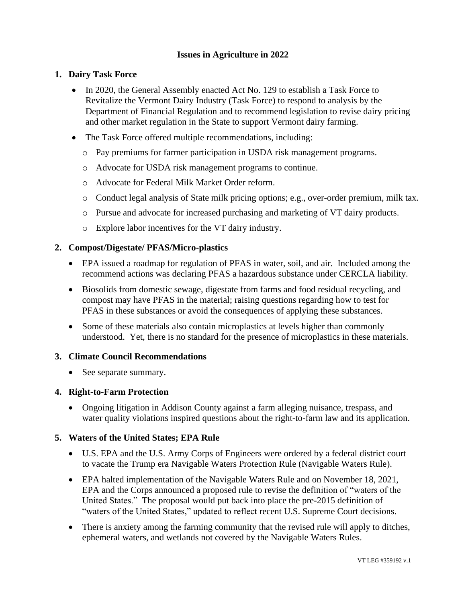# **Issues in Agriculture in 2022**

## **1. Dairy Task Force**

- In 2020, the General Assembly enacted Act No. 129 to establish a Task Force to Revitalize the Vermont Dairy Industry (Task Force) to respond to analysis by the Department of Financial Regulation and to recommend legislation to revise dairy pricing and other market regulation in the State to support Vermont dairy farming.
- The Task Force offered multiple recommendations, including:
	- o Pay premiums for farmer participation in USDA risk management programs.
	- o Advocate for USDA risk management programs to continue.
	- o Advocate for Federal Milk Market Order reform.
	- o Conduct legal analysis of State milk pricing options; e.g., over-order premium, milk tax.
	- o Pursue and advocate for increased purchasing and marketing of VT dairy products.
	- o Explore labor incentives for the VT dairy industry.

### **2. Compost/Digestate/ PFAS/Micro-plastics**

- EPA issued a roadmap for regulation of PFAS in water, soil, and air. Included among the recommend actions was declaring PFAS a hazardous substance under CERCLA liability.
- Biosolids from domestic sewage, digestate from farms and food residual recycling, and compost may have PFAS in the material; raising questions regarding how to test for PFAS in these substances or avoid the consequences of applying these substances.
- Some of these materials also contain microplastics at levels higher than commonly understood. Yet, there is no standard for the presence of microplastics in these materials.

### **3. Climate Council Recommendations**

• See separate summary.

### **4. Right-to-Farm Protection**

• Ongoing litigation in Addison County against a farm alleging nuisance, trespass, and water quality violations inspired questions about the right-to-farm law and its application.

## **5. Waters of the United States; EPA Rule**

- U.S. EPA and the U.S. Army Corps of Engineers were ordered by a federal district court to vacate the Trump era Navigable Waters Protection Rule (Navigable Waters Rule).
- EPA halted implementation of the Navigable Waters Rule and on November 18, 2021, EPA and the Corps announced [a proposed rule to revise the definition of "waters of the](https://www.epa.gov/node/268871)  [United States."](https://www.epa.gov/node/268871) The proposal would put back into place the pre-2015 definition of "waters of the United States," updated to reflect recent U.S. Supreme Court decisions.
- There is anxiety among the farming community that the revised rule will apply to ditches, ephemeral waters, and wetlands not covered by the Navigable Waters Rules.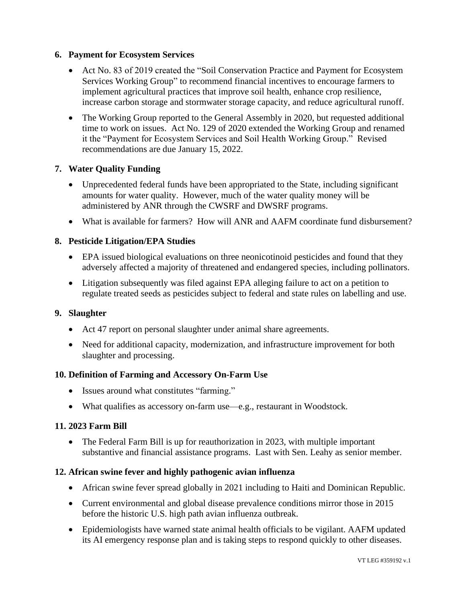## **6. Payment for Ecosystem Services**

- Act No. 83 of 2019 created the "Soil Conservation Practice and Payment for Ecosystem Services Working Group" to recommend financial incentives to encourage farmers to implement agricultural practices that improve soil health, enhance crop resilience, increase carbon storage and stormwater storage capacity, and reduce agricultural runoff.
- The Working Group reported to the General Assembly in 2020, but requested additional time to work on issues. Act No. 129 of 2020 extended the Working Group and renamed it the "Payment for Ecosystem Services and Soil Health Working Group." Revised recommendations are due January 15, 2022.

## **7. Water Quality Funding**

- Unprecedented federal funds have been appropriated to the State, including significant amounts for water quality. However, much of the water quality money will be administered by ANR through the CWSRF and DWSRF programs.
- What is available for farmers? How will ANR and AAFM coordinate fund disbursement?

## **8. Pesticide Litigation/EPA Studies**

- EPA issued biological evaluations on three neonicotinoid pesticides and found that they adversely affected a majority of threatened and endangered species, including pollinators.
- Litigation subsequently was filed against EPA alleging failure to act on a petition to regulate treated seeds as pesticides subject to federal and state rules on labelling and use.

## **9. Slaughter**

- Act 47 report on personal slaughter under animal share agreements.
- Need for additional capacity, modernization, and infrastructure improvement for both slaughter and processing.

## **10. Definition of Farming and Accessory On-Farm Use**

- Issues around what constitutes "farming."
- What qualifies as accessory on-farm use—e.g., restaurant in Woodstock.

### **11. 2023 Farm Bill**

• The Federal Farm Bill is up for reauthorization in 2023, with multiple important substantive and financial assistance programs. Last with Sen. Leahy as senior member.

### **12. African swine fever and highly pathogenic avian influenza**

- African swine fever spread globally in 2021 including to Haiti and Dominican Republic.
- Current environmental and global disease prevalence conditions mirror those in 2015 before the historic U.S. high path avian influenza outbreak.
- Epidemiologists have warned state animal health officials to be vigilant. AAFM updated its AI emergency response plan and is taking steps to respond quickly to other diseases.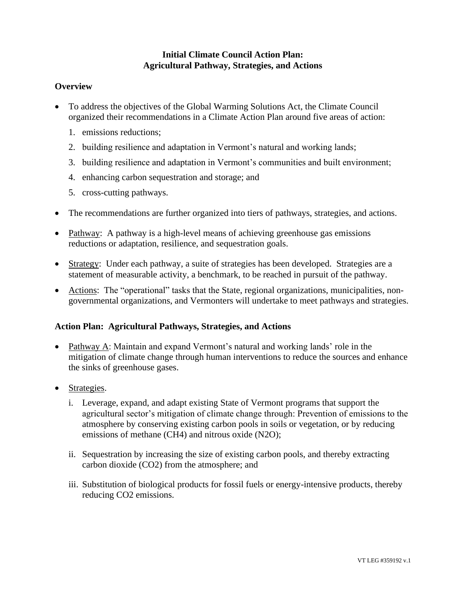# **Initial Climate Council Action Plan: Agricultural Pathway, Strategies, and Actions**

## **Overview**

- To address the objectives of the Global Warming Solutions Act, the Climate Council organized their recommendations in a Climate Action Plan around five areas of action:
	- 1. emissions reductions;
	- 2. building resilience and adaptation in Vermont's natural and working lands;
	- 3. building resilience and adaptation in Vermont's communities and built environment;
	- 4. enhancing carbon sequestration and storage; and
	- 5. cross-cutting pathways.
- The recommendations are further organized into tiers of pathways, strategies, and actions.
- Pathway: A pathway is a high-level means of achieving greenhouse gas emissions reductions or adaptation, resilience, and sequestration goals.
- Strategy: Under each pathway, a suite of strategies has been developed. Strategies are a statement of measurable activity, a benchmark, to be reached in pursuit of the pathway.
- Actions: The "operational" tasks that the State, regional organizations, municipalities, nongovernmental organizations, and Vermonters will undertake to meet pathways and strategies.

# **Action Plan: Agricultural Pathways, Strategies, and Actions**

- Pathway A: Maintain and expand Vermont's natural and working lands' role in the mitigation of climate change through human interventions to reduce the sources and enhance the sinks of greenhouse gases.
- Strategies.
	- i. Leverage, expand, and adapt existing State of Vermont programs that support the agricultural sector's mitigation of climate change through: Prevention of emissions to the atmosphere by conserving existing carbon pools in soils or vegetation, or by reducing emissions of methane (CH4) and nitrous oxide (N2O);
	- ii. Sequestration by increasing the size of existing carbon pools, and thereby extracting carbon dioxide (CO2) from the atmosphere; and
	- iii. Substitution of biological products for fossil fuels or energy-intensive products, thereby reducing CO2 emissions.